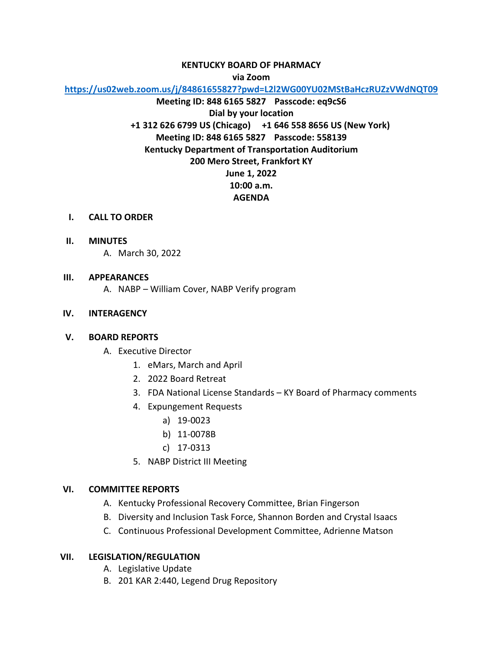# **KENTUCKY BOARD OF PHARMACY**

**via Zoom**

**<https://us02web.zoom.us/j/84861655827?pwd=L2l2WG00YU02MStBaHczRUZzVWdNQT09>**

**Meeting ID: 848 6165 5827 Passcode: eq9cS6 Dial by your location +1 312 626 6799 US (Chicago) +1 646 558 8656 US (New York) Meeting ID: 848 6165 5827 Passcode: 558139 Kentucky Department of Transportation Auditorium 200 Mero Street, Frankfort KY June 1, 2022 10:00 a.m. AGENDA**

- **I. CALL TO ORDER**
- **II. MINUTES**
	- A. March 30, 2022

#### **III. APPEARANCES**

A. NABP – William Cover, NABP Verify program

## **IV. INTERAGENCY**

#### **V. BOARD REPORTS**

- A. Executive Director
	- 1. eMars, March and April
	- 2. 2022 Board Retreat
	- 3. FDA National License Standards KY Board of Pharmacy comments
	- 4. Expungement Requests
		- a) 19-0023
		- b) 11-0078B
		- c) 17-0313
	- 5. NABP District III Meeting

## **VI. COMMITTEE REPORTS**

- A. Kentucky Professional Recovery Committee, Brian Fingerson
- B. Diversity and Inclusion Task Force, Shannon Borden and Crystal Isaacs
- C. Continuous Professional Development Committee, Adrienne Matson

## **VII. LEGISLATION/REGULATION**

- A. Legislative Update
- B. 201 KAR 2:440, Legend Drug Repository